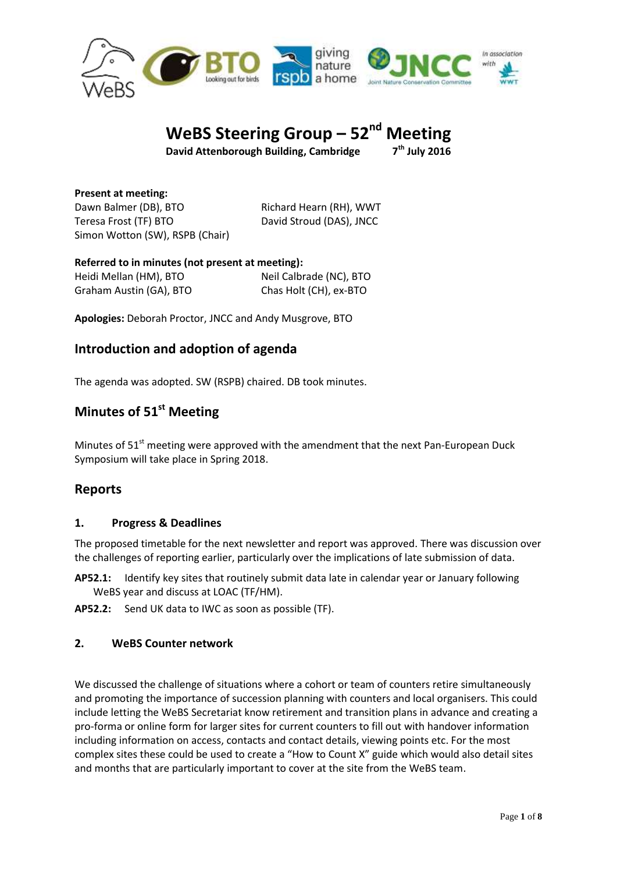

#### **WeBS Steering Group – 52 Meeting**

**David Attenborough Building, Cambridge 7**

**th July 2016**

**Present at meeting:** Dawn Balmer (DB), BTO Richard Hearn (RH), WWT Teresa Frost (TF) BTO David Stroud (DAS), JNCC Simon Wotton (SW), RSPB (Chair)

**Referred to in minutes (not present at meeting):** Heidi Mellan (HM), BTO Neil Calbrade (NC), BTO Graham Austin (GA), BTO Chas Holt (CH), ex-BTO

**Apologies:** Deborah Proctor, JNCC and Andy Musgrove, BTO

# **Introduction and adoption of agenda**

The agenda was adopted. SW (RSPB) chaired. DB took minutes.

# **Minutes of 51<sup>st</sup> Meeting**

Minutes of 51<sup>st</sup> meeting were approved with the amendment that the next Pan-European Duck Symposium will take place in Spring 2018.

# **Reports**

### **1. Progress & Deadlines**

The proposed timetable for the next newsletter and report was approved. There was discussion over the challenges of reporting earlier, particularly over the implications of late submission of data.

- **AP52.1:** Identify key sites that routinely submit data late in calendar year or January following WeBS year and discuss at LOAC (TF/HM).
- **AP52.2:** Send UK data to IWC as soon as possible (TF).

### **2. WeBS Counter network**

We discussed the challenge of situations where a cohort or team of counters retire simultaneously and promoting the importance of succession planning with counters and local organisers. This could include letting the WeBS Secretariat know retirement and transition plans in advance and creating a pro-forma or online form for larger sites for current counters to fill out with handover information including information on access, contacts and contact details, viewing points etc. For the most complex sites these could be used to create a "How to Count X" guide which would also detail sites and months that are particularly important to cover at the site from the WeBS team.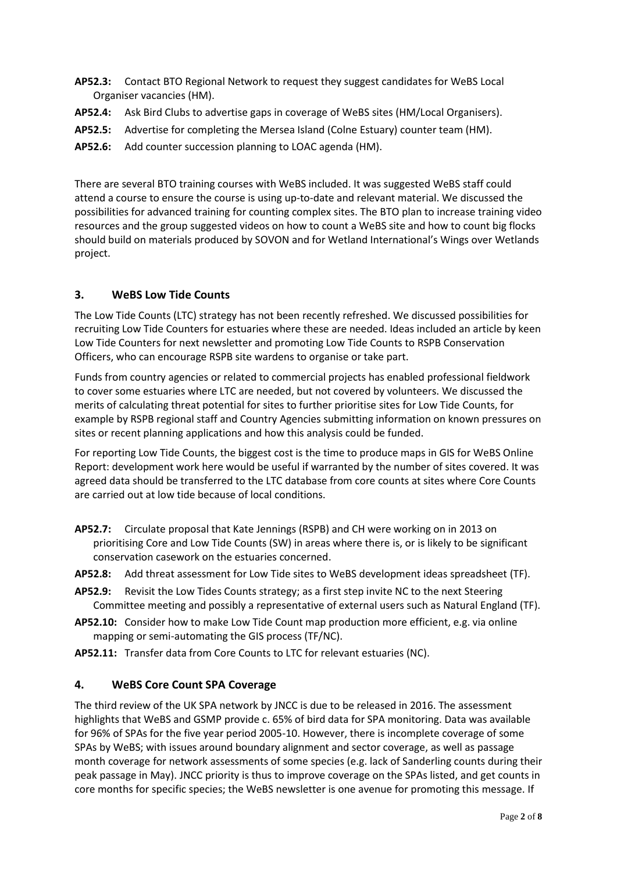- **AP52.3:** Contact BTO Regional Network to request they suggest candidates for WeBS Local Organiser vacancies (HM).
- **AP52.4:** Ask Bird Clubs to advertise gaps in coverage of WeBS sites (HM/Local Organisers).
- **AP52.5:** Advertise for completing the Mersea Island (Colne Estuary) counter team (HM).
- **AP52.6:** Add counter succession planning to LOAC agenda (HM).

There are several BTO training courses with WeBS included. It was suggested WeBS staff could attend a course to ensure the course is using up-to-date and relevant material. We discussed the possibilities for advanced training for counting complex sites. The BTO plan to increase training video resources and the group suggested videos on how to count a WeBS site and how to count big flocks should build on materials produced by SOVON and for Wetland International's Wings over Wetlands project.

# **3. WeBS Low Tide Counts**

The Low Tide Counts (LTC) strategy has not been recently refreshed. We discussed possibilities for recruiting Low Tide Counters for estuaries where these are needed. Ideas included an article by keen Low Tide Counters for next newsletter and promoting Low Tide Counts to RSPB Conservation Officers, who can encourage RSPB site wardens to organise or take part.

Funds from country agencies or related to commercial projects has enabled professional fieldwork to cover some estuaries where LTC are needed, but not covered by volunteers. We discussed the merits of calculating threat potential for sites to further prioritise sites for Low Tide Counts, for example by RSPB regional staff and Country Agencies submitting information on known pressures on sites or recent planning applications and how this analysis could be funded.

For reporting Low Tide Counts, the biggest cost is the time to produce maps in GIS for WeBS Online Report: development work here would be useful if warranted by the number of sites covered. It was agreed data should be transferred to the LTC database from core counts at sites where Core Counts are carried out at low tide because of local conditions.

- **AP52.7:** Circulate proposal that Kate Jennings (RSPB) and CH were working on in 2013 on prioritising Core and Low Tide Counts (SW) in areas where there is, or is likely to be significant conservation casework on the estuaries concerned.
- **AP52.8:** Add threat assessment for Low Tide sites to WeBS development ideas spreadsheet (TF).
- **AP52.9:** Revisit the Low Tides Counts strategy; as a first step invite NC to the next Steering Committee meeting and possibly a representative of external users such as Natural England (TF).
- **AP52.10:** Consider how to make Low Tide Count map production more efficient, e.g. via online mapping or semi-automating the GIS process (TF/NC).
- **AP52.11:** Transfer data from Core Counts to LTC for relevant estuaries (NC).

### **4. WeBS Core Count SPA Coverage**

The third review of the UK SPA network by JNCC is due to be released in 2016. The assessment highlights that WeBS and GSMP provide c. 65% of bird data for SPA monitoring. Data was available for 96% of SPAs for the five year period 2005-10. However, there is incomplete coverage of some SPAs by WeBS; with issues around boundary alignment and sector coverage, as well as passage month coverage for network assessments of some species (e.g. lack of Sanderling counts during their peak passage in May). JNCC priority is thus to improve coverage on the SPAs listed, and get counts in core months for specific species; the WeBS newsletter is one avenue for promoting this message. If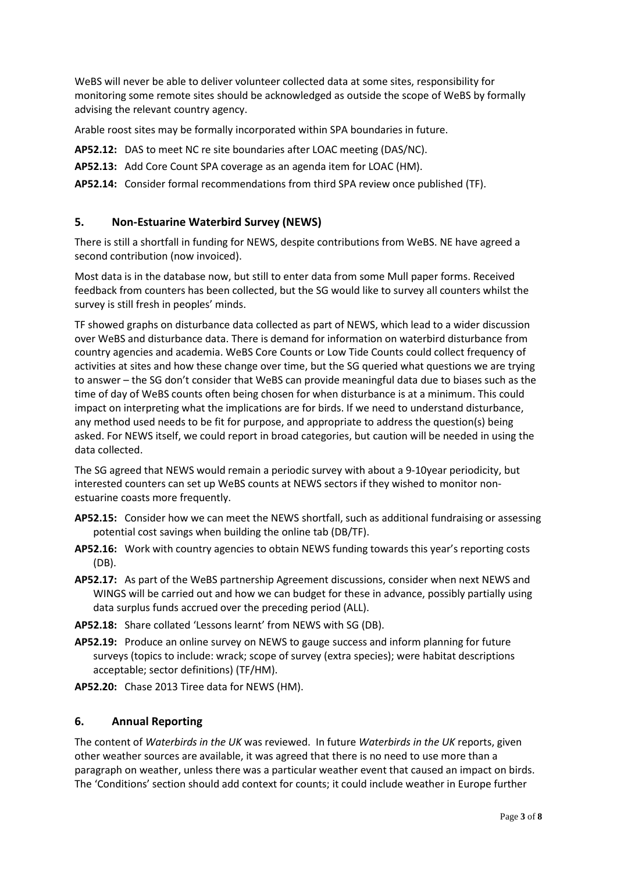WeBS will never be able to deliver volunteer collected data at some sites, responsibility for monitoring some remote sites should be acknowledged as outside the scope of WeBS by formally advising the relevant country agency.

Arable roost sites may be formally incorporated within SPA boundaries in future.

**AP52.12:** DAS to meet NC re site boundaries after LOAC meeting (DAS/NC).

**AP52.13:** Add Core Count SPA coverage as an agenda item for LOAC (HM).

**AP52.14:** Consider formal recommendations from third SPA review once published (TF).

#### **5. Non-Estuarine Waterbird Survey (NEWS)**

There is still a shortfall in funding for NEWS, despite contributions from WeBS. NE have agreed a second contribution (now invoiced).

Most data is in the database now, but still to enter data from some Mull paper forms. Received feedback from counters has been collected, but the SG would like to survey all counters whilst the survey is still fresh in peoples' minds.

TF showed graphs on disturbance data collected as part of NEWS, which lead to a wider discussion over WeBS and disturbance data. There is demand for information on waterbird disturbance from country agencies and academia. WeBS Core Counts or Low Tide Counts could collect frequency of activities at sites and how these change over time, but the SG queried what questions we are trying to answer – the SG don't consider that WeBS can provide meaningful data due to biases such as the time of day of WeBS counts often being chosen for when disturbance is at a minimum. This could impact on interpreting what the implications are for birds. If we need to understand disturbance, any method used needs to be fit for purpose, and appropriate to address the question(s) being asked. For NEWS itself, we could report in broad categories, but caution will be needed in using the data collected.

The SG agreed that NEWS would remain a periodic survey with about a 9-10year periodicity, but interested counters can set up WeBS counts at NEWS sectors if they wished to monitor nonestuarine coasts more frequently.

- **AP52.15:** Consider how we can meet the NEWS shortfall, such as additional fundraising or assessing potential cost savings when building the online tab (DB/TF).
- **AP52.16:** Work with country agencies to obtain NEWS funding towards this year's reporting costs (DB).
- **AP52.17:** As part of the WeBS partnership Agreement discussions, consider when next NEWS and WINGS will be carried out and how we can budget for these in advance, possibly partially using data surplus funds accrued over the preceding period (ALL).
- **AP52.18:** Share collated 'Lessons learnt' from NEWS with SG (DB).
- **AP52.19:** Produce an online survey on NEWS to gauge success and inform planning for future surveys (topics to include: wrack; scope of survey (extra species); were habitat descriptions acceptable; sector definitions) (TF/HM).

**AP52.20:** Chase 2013 Tiree data for NEWS (HM).

#### **6. Annual Reporting**

The content of *Waterbirds in the UK* was reviewed. In future *Waterbirds in the UK* reports, given other weather sources are available, it was agreed that there is no need to use more than a paragraph on weather, unless there was a particular weather event that caused an impact on birds. The 'Conditions' section should add context for counts; it could include weather in Europe further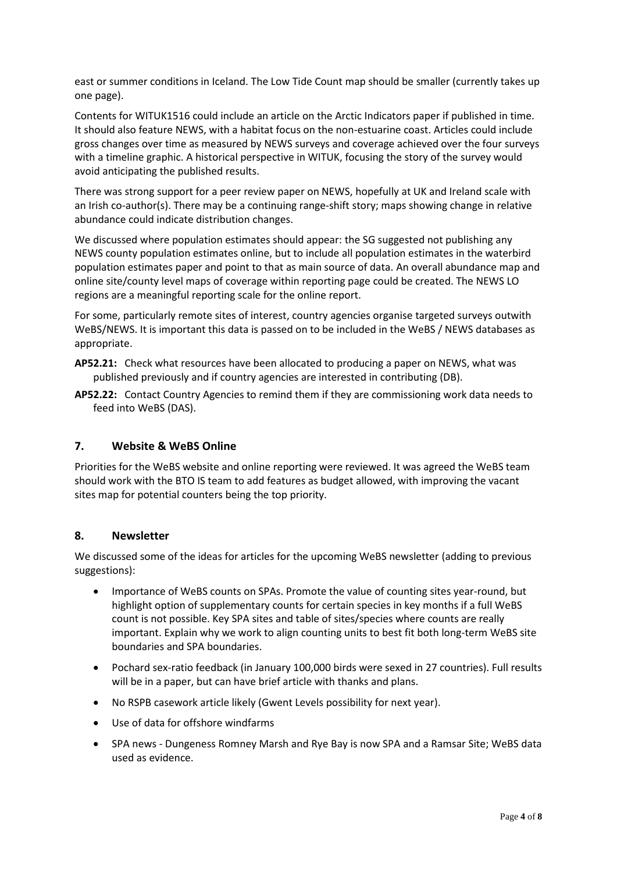east or summer conditions in Iceland. The Low Tide Count map should be smaller (currently takes up one page).

Contents for WITUK1516 could include an article on the Arctic Indicators paper if published in time. It should also feature NEWS, with a habitat focus on the non-estuarine coast. Articles could include gross changes over time as measured by NEWS surveys and coverage achieved over the four surveys with a timeline graphic. A historical perspective in WITUK, focusing the story of the survey would avoid anticipating the published results.

There was strong support for a peer review paper on NEWS, hopefully at UK and Ireland scale with an Irish co-author(s). There may be a continuing range-shift story; maps showing change in relative abundance could indicate distribution changes.

We discussed where population estimates should appear: the SG suggested not publishing any NEWS county population estimates online, but to include all population estimates in the waterbird population estimates paper and point to that as main source of data. An overall abundance map and online site/county level maps of coverage within reporting page could be created. The NEWS LO regions are a meaningful reporting scale for the online report.

For some, particularly remote sites of interest, country agencies organise targeted surveys outwith WeBS/NEWS. It is important this data is passed on to be included in the WeBS / NEWS databases as appropriate.

- **AP52.21:** Check what resources have been allocated to producing a paper on NEWS, what was published previously and if country agencies are interested in contributing (DB).
- **AP52.22:** Contact Country Agencies to remind them if they are commissioning work data needs to feed into WeBS (DAS).

### **7. Website & WeBS Online**

Priorities for the WeBS website and online reporting were reviewed. It was agreed the WeBS team should work with the BTO IS team to add features as budget allowed, with improving the vacant sites map for potential counters being the top priority.

#### **8. Newsletter**

We discussed some of the ideas for articles for the upcoming WeBS newsletter (adding to previous suggestions):

- Importance of WeBS counts on SPAs. Promote the value of counting sites year-round, but highlight option of supplementary counts for certain species in key months if a full WeBS count is not possible. Key SPA sites and table of sites/species where counts are really important. Explain why we work to align counting units to best fit both long-term WeBS site boundaries and SPA boundaries.
- Pochard sex-ratio feedback (in January 100,000 birds were sexed in 27 countries). Full results will be in a paper, but can have brief article with thanks and plans.
- No RSPB casework article likely (Gwent Levels possibility for next year).
- Use of data for offshore windfarms
- SPA news Dungeness Romney Marsh and Rye Bay is now SPA and a Ramsar Site; WeBS data used as evidence.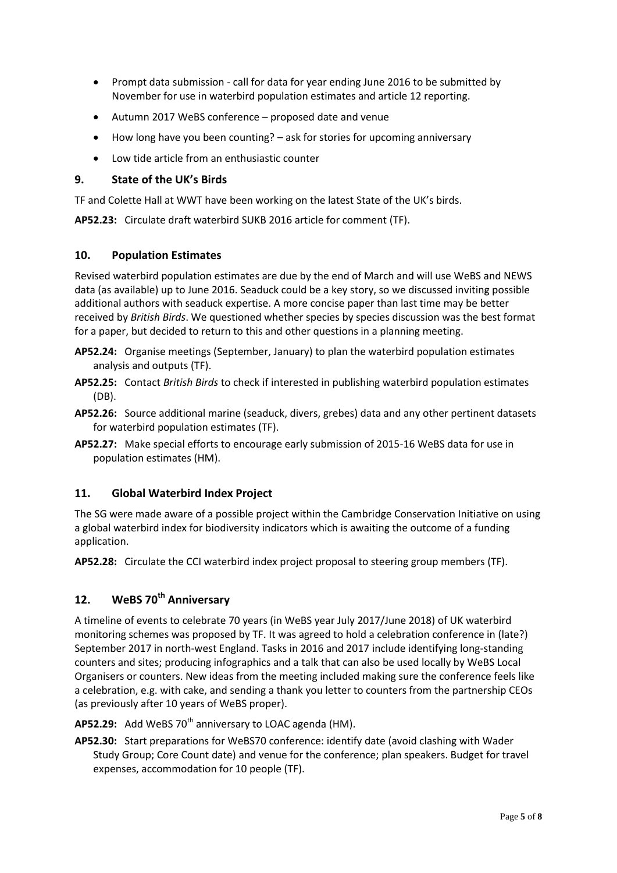- Prompt data submission call for data for year ending June 2016 to be submitted by November for use in waterbird population estimates and article 12 reporting.
- Autumn 2017 WeBS conference proposed date and venue
- How long have you been counting? ask for stories for upcoming anniversary
- Low tide article from an enthusiastic counter

### **9. State of the UK's Birds**

TF and Colette Hall at WWT have been working on the latest State of the UK's birds.

**AP52.23:** Circulate draft waterbird SUKB 2016 article for comment (TF).

### **10. Population Estimates**

Revised waterbird population estimates are due by the end of March and will use WeBS and NEWS data (as available) up to June 2016. Seaduck could be a key story, so we discussed inviting possible additional authors with seaduck expertise. A more concise paper than last time may be better received by *British Birds*. We questioned whether species by species discussion was the best format for a paper, but decided to return to this and other questions in a planning meeting.

- **AP52.24:** Organise meetings (September, January) to plan the waterbird population estimates analysis and outputs (TF).
- **AP52.25:** Contact *British Birds* to check if interested in publishing waterbird population estimates (DB).
- **AP52.26:** Source additional marine (seaduck, divers, grebes) data and any other pertinent datasets for waterbird population estimates (TF).
- **AP52.27:** Make special efforts to encourage early submission of 2015-16 WeBS data for use in population estimates (HM).

### **11. Global Waterbird Index Project**

The SG were made aware of a possible project within the Cambridge Conservation Initiative on using a global waterbird index for biodiversity indicators which is awaiting the outcome of a funding application.

**AP52.28:** Circulate the CCI waterbird index project proposal to steering group members (TF).

# **12. WeBS 70th Anniversary**

A timeline of events to celebrate 70 years (in WeBS year July 2017/June 2018) of UK waterbird monitoring schemes was proposed by TF. It was agreed to hold a celebration conference in (late?) September 2017 in north-west England. Tasks in 2016 and 2017 include identifying long-standing counters and sites; producing infographics and a talk that can also be used locally by WeBS Local Organisers or counters. New ideas from the meeting included making sure the conference feels like a celebration, e.g. with cake, and sending a thank you letter to counters from the partnership CEOs (as previously after 10 years of WeBS proper).

#### AP52.29: Add WeBS 70<sup>th</sup> anniversary to LOAC agenda (HM).

**AP52.30:** Start preparations for WeBS70 conference: identify date (avoid clashing with Wader Study Group; Core Count date) and venue for the conference; plan speakers. Budget for travel expenses, accommodation for 10 people (TF).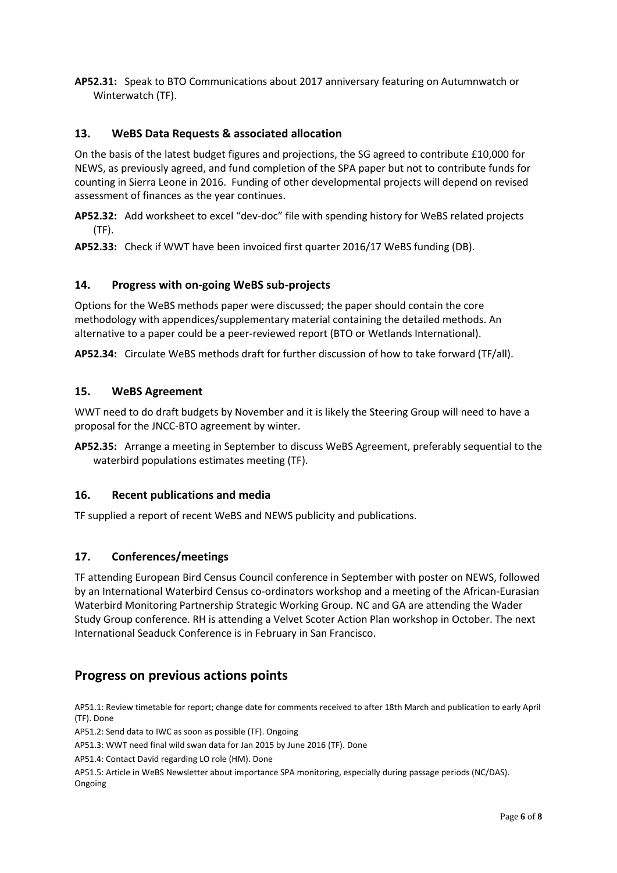**AP52.31:** Speak to BTO Communications about 2017 anniversary featuring on Autumnwatch or Winterwatch (TF).

### **13. WeBS Data Requests & associated allocation**

On the basis of the latest budget figures and projections, the SG agreed to contribute £10,000 for NEWS, as previously agreed, and fund completion of the SPA paper but not to contribute funds for counting in Sierra Leone in 2016. Funding of other developmental projects will depend on revised assessment of finances as the year continues.

**AP52.32:** Add worksheet to excel "dev-doc" file with spending history for WeBS related projects (TF).

**AP52.33:** Check if WWT have been invoiced first quarter 2016/17 WeBS funding (DB).

#### **14. Progress with on-going WeBS sub-projects**

Options for the WeBS methods paper were discussed; the paper should contain the core methodology with appendices/supplementary material containing the detailed methods. An alternative to a paper could be a peer-reviewed report (BTO or Wetlands International).

**AP52.34:** Circulate WeBS methods draft for further discussion of how to take forward (TF/all).

#### **15. WeBS Agreement**

WWT need to do draft budgets by November and it is likely the Steering Group will need to have a proposal for the JNCC-BTO agreement by winter.

**AP52.35:** Arrange a meeting in September to discuss WeBS Agreement, preferably sequential to the waterbird populations estimates meeting (TF).

#### **16. Recent publications and media**

TF supplied a report of recent WeBS and NEWS publicity and publications.

### **17. Conferences/meetings**

TF attending European Bird Census Council conference in September with poster on NEWS, followed by an International Waterbird Census co-ordinators workshop and a meeting of the African-Eurasian Waterbird Monitoring Partnership Strategic Working Group. NC and GA are attending the Wader Study Group conference. RH is attending a Velvet Scoter Action Plan workshop in October. The next International Seaduck Conference is in February in San Francisco.

# **Progress on previous actions points**

AP51.1: Review timetable for report; change date for comments received to after 18th March and publication to early April (TF). Done

AP51.2: Send data to IWC as soon as possible (TF). Ongoing

AP51.3: WWT need final wild swan data for Jan 2015 by June 2016 (TF). Done

AP51.4: Contact David regarding LO role (HM). Done

AP51.5: Article in WeBS Newsletter about importance SPA monitoring, especially during passage periods (NC/DAS). Ongoing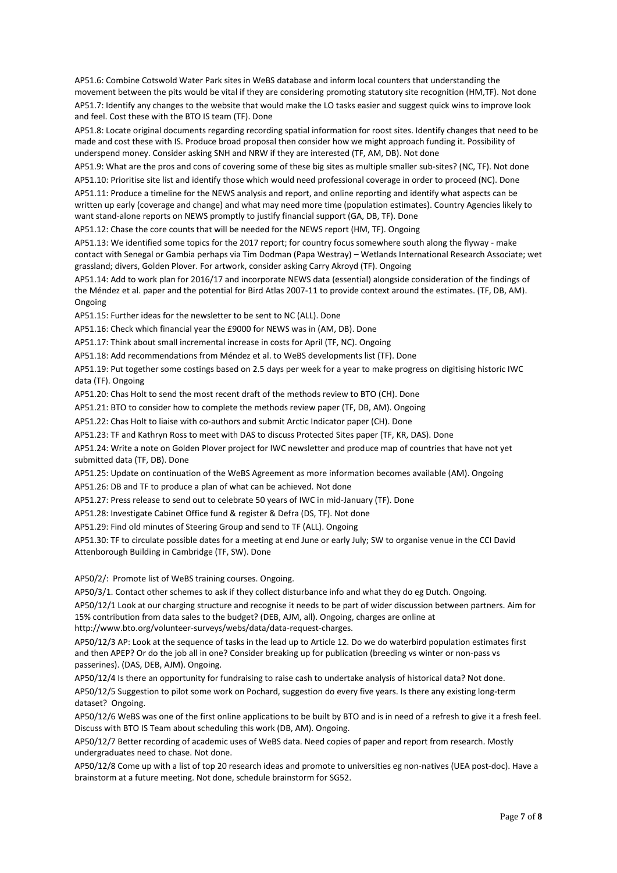AP51.6: Combine Cotswold Water Park sites in WeBS database and inform local counters that understanding the movement between the pits would be vital if they are considering promoting statutory site recognition (HM,TF). Not done AP51.7: Identify any changes to the website that would make the LO tasks easier and suggest quick wins to improve look and feel. Cost these with the BTO IS team (TF). Done

AP51.8: Locate original documents regarding recording spatial information for roost sites. Identify changes that need to be made and cost these with IS. Produce broad proposal then consider how we might approach funding it. Possibility of underspend money. Consider asking SNH and NRW if they are interested (TF, AM, DB). Not done

AP51.9: What are the pros and cons of covering some of these big sites as multiple smaller sub-sites? (NC, TF). Not done AP51.10: Prioritise site list and identify those which would need professional coverage in order to proceed (NC). Done

AP51.11: Produce a timeline for the NEWS analysis and report, and online reporting and identify what aspects can be written up early (coverage and change) and what may need more time (population estimates). Country Agencies likely to want stand-alone reports on NEWS promptly to justify financial support (GA, DB, TF). Done

AP51.12: Chase the core counts that will be needed for the NEWS report (HM, TF). Ongoing

AP51.13: We identified some topics for the 2017 report; for country focus somewhere south along the flyway - make contact with Senegal or Gambia perhaps via Tim Dodman (Papa Westray) – Wetlands International Research Associate; wet grassland; divers, Golden Plover. For artwork, consider asking Carry Akroyd (TF). Ongoing

AP51.14: Add to work plan for 2016/17 and incorporate NEWS data (essential) alongside consideration of the findings of the Méndez et al. paper and the potential for Bird Atlas 2007-11 to provide context around the estimates. (TF, DB, AM). Ongoing

AP51.15: Further ideas for the newsletter to be sent to NC (ALL). Done

AP51.16: Check which financial year the £9000 for NEWS was in (AM, DB). Done

AP51.17: Think about small incremental increase in costs for April (TF, NC). Ongoing

AP51.18: Add recommendations from Méndez et al. to WeBS developments list (TF). Done

AP51.19: Put together some costings based on 2.5 days per week for a year to make progress on digitising historic IWC data (TF). Ongoing

AP51.20: Chas Holt to send the most recent draft of the methods review to BTO (CH). Done

AP51.21: BTO to consider how to complete the methods review paper (TF, DB, AM). Ongoing

AP51.22: Chas Holt to liaise with co-authors and submit Arctic Indicator paper (CH). Done

AP51.23: TF and Kathryn Ross to meet with DAS to discuss Protected Sites paper (TF, KR, DAS). Done

AP51.24: Write a note on Golden Plover project for IWC newsletter and produce map of countries that have not yet submitted data (TF, DB). Done

AP51.25: Update on continuation of the WeBS Agreement as more information becomes available (AM). Ongoing

AP51.26: DB and TF to produce a plan of what can be achieved. Not done

AP51.27: Press release to send out to celebrate 50 years of IWC in mid-January (TF). Done

AP51.28: Investigate Cabinet Office fund & register & Defra (DS, TF). Not done

AP51.29: Find old minutes of Steering Group and send to TF (ALL). Ongoing

AP51.30: TF to circulate possible dates for a meeting at end June or early July; SW to organise venue in the CCI David Attenborough Building in Cambridge (TF, SW). Done

AP50/2/: Promote list of WeBS training courses. Ongoing.

AP50/3/1. Contact other schemes to ask if they collect disturbance info and what they do eg Dutch. Ongoing. AP50/12/1 Look at our charging structure and recognise it needs to be part of wider discussion between partners. Aim for 15% contribution from data sales to the budget? (DEB, AJM, all). Ongoing, charges are online at http://www.bto.org/volunteer-surveys/webs/data/data-request-charges.

AP50/12/3 AP: Look at the sequence of tasks in the lead up to Article 12. Do we do waterbird population estimates first and then APEP? Or do the job all in one? Consider breaking up for publication (breeding vs winter or non-pass vs passerines). (DAS, DEB, AJM). Ongoing.

AP50/12/4 Is there an opportunity for fundraising to raise cash to undertake analysis of historical data? Not done.

AP50/12/5 Suggestion to pilot some work on Pochard, suggestion do every five years. Is there any existing long-term dataset? Ongoing.

AP50/12/6 WeBS was one of the first online applications to be built by BTO and is in need of a refresh to give it a fresh feel. Discuss with BTO IS Team about scheduling this work (DB, AM). Ongoing.

AP50/12/7 Better recording of academic uses of WeBS data. Need copies of paper and report from research. Mostly undergraduates need to chase. Not done.

AP50/12/8 Come up with a list of top 20 research ideas and promote to universities eg non-natives (UEA post-doc). Have a brainstorm at a future meeting. Not done, schedule brainstorm for SG52.